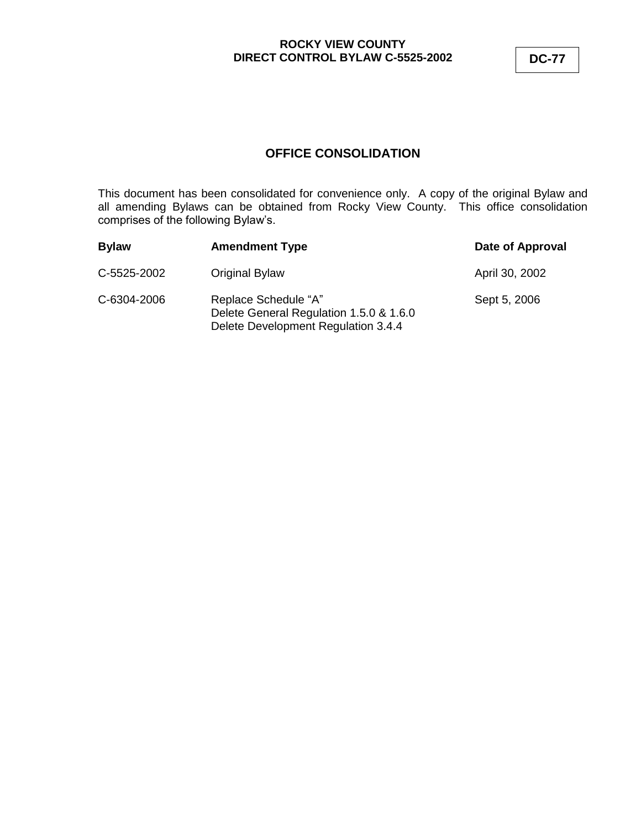## **ROCKY VIEW COUNTY DIRECT CONTROL BYLAW C-5525-2002 DC-77**

# **OFFICE CONSOLIDATION**

This document has been consolidated for convenience only. A copy of the original Bylaw and all amending Bylaws can be obtained from Rocky View County. This office consolidation comprises of the following Bylaw's.

| <b>Bylaw</b> | <b>Amendment Type</b>                                                                                  | Date of Approval |
|--------------|--------------------------------------------------------------------------------------------------------|------------------|
| C-5525-2002  | Original Bylaw                                                                                         | April 30, 2002   |
| C-6304-2006  | Replace Schedule "A"<br>Delete General Regulation 1.5.0 & 1.6.0<br>Delete Development Regulation 3.4.4 | Sept 5, 2006     |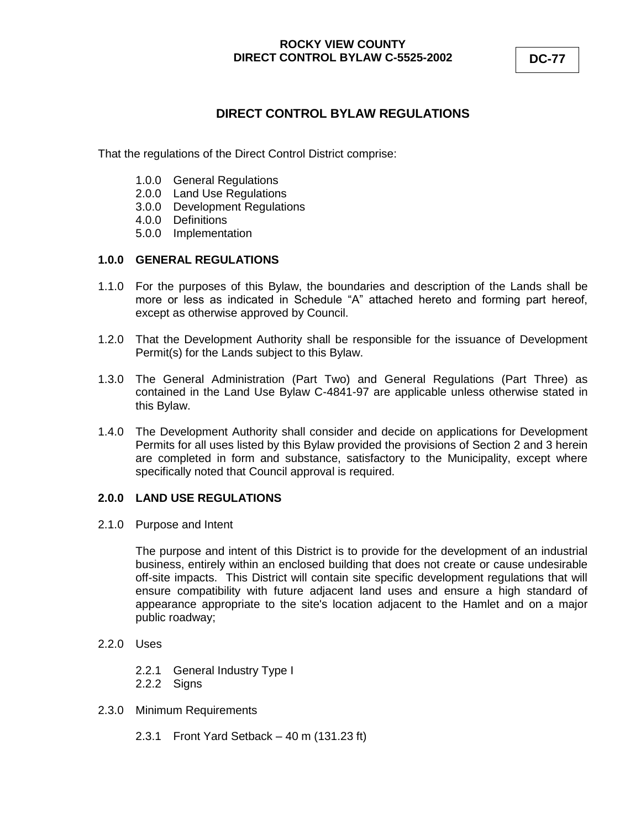## **ROCKY VIEW COUNTY DIRECT CONTROL BYLAW C-5525-2002 DC-77**

# **DIRECT CONTROL BYLAW REGULATIONS**

That the regulations of the Direct Control District comprise:

- 1.0.0 General Regulations
- 2.0.0 Land Use Regulations
- 3.0.0 Development Regulations
- 4.0.0 Definitions
- 5.0.0 Implementation

### **1.0.0 GENERAL REGULATIONS**

- 1.1.0 For the purposes of this Bylaw, the boundaries and description of the Lands shall be more or less as indicated in Schedule "A" attached hereto and forming part hereof, except as otherwise approved by Council.
- 1.2.0 That the Development Authority shall be responsible for the issuance of Development Permit(s) for the Lands subject to this Bylaw.
- 1.3.0 The General Administration (Part Two) and General Regulations (Part Three) as contained in the Land Use Bylaw C-4841-97 are applicable unless otherwise stated in this Bylaw.
- 1.4.0 The Development Authority shall consider and decide on applications for Development Permits for all uses listed by this Bylaw provided the provisions of Section 2 and 3 herein are completed in form and substance, satisfactory to the Municipality, except where specifically noted that Council approval is required.

## **2.0.0 LAND USE REGULATIONS**

2.1.0 Purpose and Intent

The purpose and intent of this District is to provide for the development of an industrial business, entirely within an enclosed building that does not create or cause undesirable off-site impacts. This District will contain site specific development regulations that will ensure compatibility with future adjacent land uses and ensure a high standard of appearance appropriate to the site's location adjacent to the Hamlet and on a major public roadway;

- 2.2.0 Uses
	- 2.2.1 General Industry Type I
	- 2.2.2 Signs
- 2.3.0 Minimum Requirements
	- 2.3.1 Front Yard Setback 40 m (131.23 ft)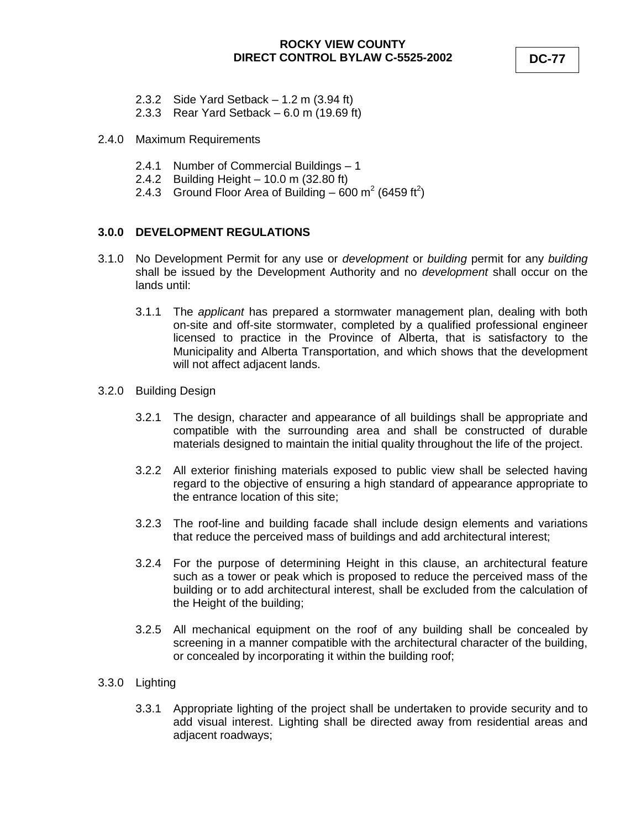- 2.3.2 Side Yard Setback 1.2 m (3.94 ft)
- 2.3.3 Rear Yard Setback 6.0 m (19.69 ft)
- 2.4.0 Maximum Requirements
	- 2.4.1 Number of Commercial Buildings 1
	- 2.4.2 Building Height 10.0 m (32.80 ft)
	- 2.4.3 Ground Floor Area of Building  $-600 \text{ m}^2$  (6459 ft<sup>2</sup>)

#### **3.0.0 DEVELOPMENT REGULATIONS**

- 3.1.0 No Development Permit for any use or *development* or *building* permit for any *building* shall be issued by the Development Authority and no *development* shall occur on the lands until:
	- 3.1.1 The *applicant* has prepared a stormwater management plan, dealing with both on-site and off-site stormwater, completed by a qualified professional engineer licensed to practice in the Province of Alberta, that is satisfactory to the Municipality and Alberta Transportation, and which shows that the development will not affect adjacent lands.
- 3.2.0 Building Design
	- 3.2.1 The design, character and appearance of all buildings shall be appropriate and compatible with the surrounding area and shall be constructed of durable materials designed to maintain the initial quality throughout the life of the project.
	- 3.2.2 All exterior finishing materials exposed to public view shall be selected having regard to the objective of ensuring a high standard of appearance appropriate to the entrance location of this site;
	- 3.2.3 The roof-line and building facade shall include design elements and variations that reduce the perceived mass of buildings and add architectural interest;
	- 3.2.4 For the purpose of determining Height in this clause, an architectural feature such as a tower or peak which is proposed to reduce the perceived mass of the building or to add architectural interest, shall be excluded from the calculation of the Height of the building;
	- 3.2.5 All mechanical equipment on the roof of any building shall be concealed by screening in a manner compatible with the architectural character of the building, or concealed by incorporating it within the building roof;

#### 3.3.0 Lighting

3.3.1 Appropriate lighting of the project shall be undertaken to provide security and to add visual interest. Lighting shall be directed away from residential areas and adjacent roadways;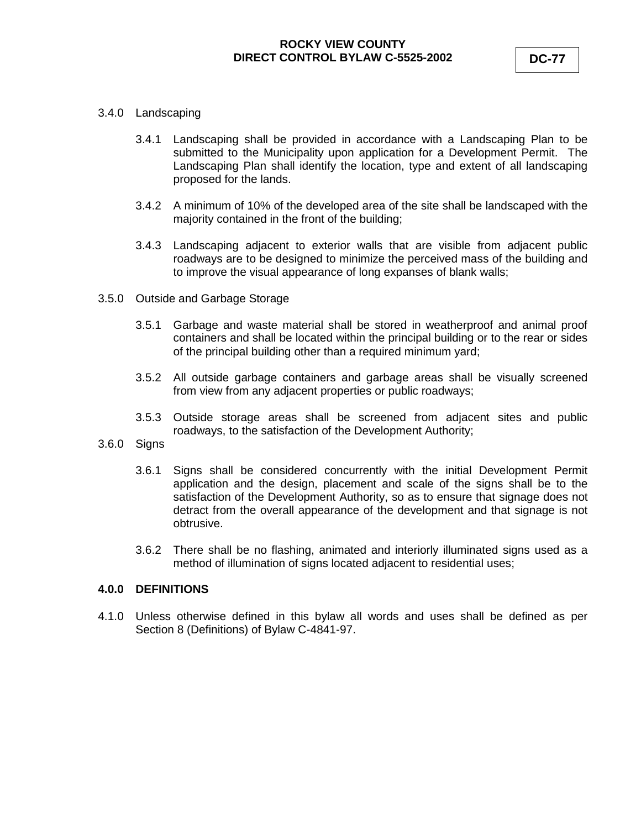#### 3.4.0 Landscaping

- 3.4.1 Landscaping shall be provided in accordance with a Landscaping Plan to be submitted to the Municipality upon application for a Development Permit. The Landscaping Plan shall identify the location, type and extent of all landscaping proposed for the lands.
- 3.4.2 A minimum of 10% of the developed area of the site shall be landscaped with the majority contained in the front of the building;
- 3.4.3 Landscaping adjacent to exterior walls that are visible from adjacent public roadways are to be designed to minimize the perceived mass of the building and to improve the visual appearance of long expanses of blank walls;
- 3.5.0 Outside and Garbage Storage
	- 3.5.1 Garbage and waste material shall be stored in weatherproof and animal proof containers and shall be located within the principal building or to the rear or sides of the principal building other than a required minimum yard;
	- 3.5.2 All outside garbage containers and garbage areas shall be visually screened from view from any adjacent properties or public roadways;
	- 3.5.3 Outside storage areas shall be screened from adjacent sites and public roadways, to the satisfaction of the Development Authority;
- 3.6.0 Signs
	- 3.6.1 Signs shall be considered concurrently with the initial Development Permit application and the design, placement and scale of the signs shall be to the satisfaction of the Development Authority, so as to ensure that signage does not detract from the overall appearance of the development and that signage is not obtrusive.
	- 3.6.2 There shall be no flashing, animated and interiorly illuminated signs used as a method of illumination of signs located adjacent to residential uses;

#### **4.0.0 DEFINITIONS**

4.1.0 Unless otherwise defined in this bylaw all words and uses shall be defined as per Section 8 (Definitions) of Bylaw C-4841-97.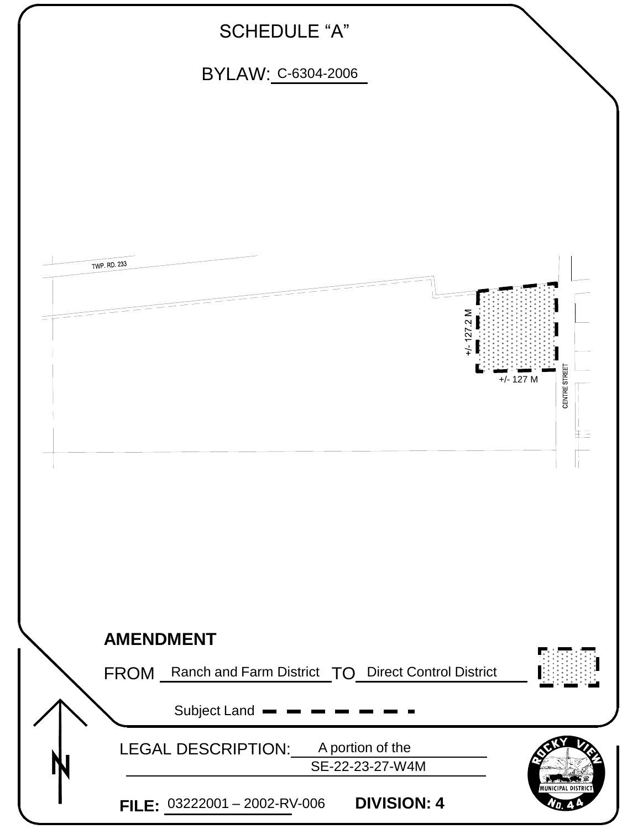